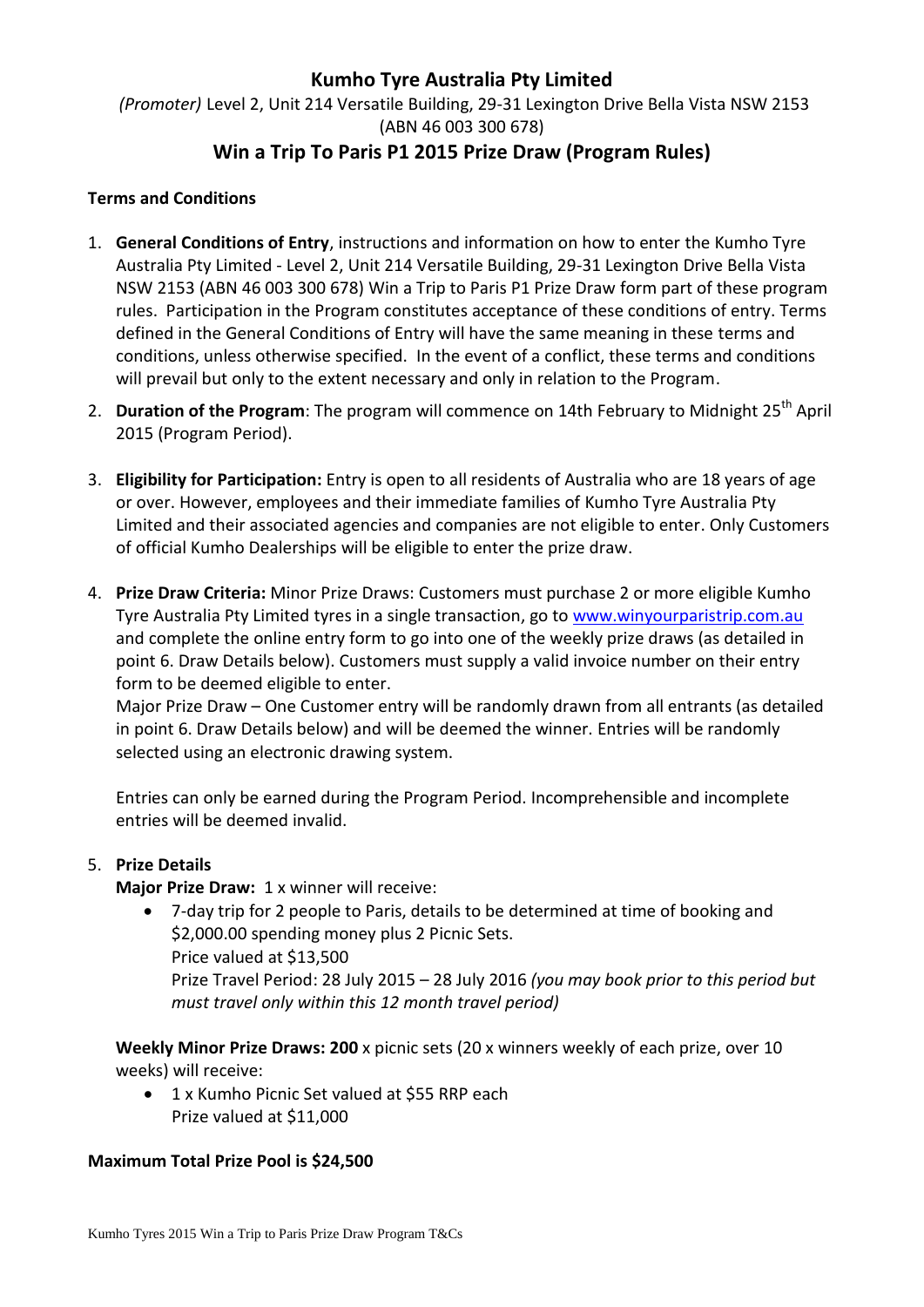# **Kumho Tyre Australia Pty Limited**

*(Promoter)* Level 2, Unit 214 Versatile Building, 29-31 Lexington Drive Bella Vista NSW 2153 (ABN 46 003 300 678) **Win a Trip To Paris P1 2015 Prize Draw (Program Rules)**

## **Terms and Conditions**

- 1. **General Conditions of Entry**, instructions and information on how to enter the Kumho Tyre Australia Pty Limited - Level 2, Unit 214 Versatile Building, 29-31 Lexington Drive Bella Vista NSW 2153 (ABN 46 003 300 678) Win a Trip to Paris P1 Prize Draw form part of these program rules. Participation in the Program constitutes acceptance of these conditions of entry. Terms defined in the General Conditions of Entry will have the same meaning in these terms and conditions, unless otherwise specified. In the event of a conflict, these terms and conditions will prevail but only to the extent necessary and only in relation to the Program.
- 2. **Duration of the Program**: The program will commence on 14th February to Midnight 25<sup>th</sup> April 2015 (Program Period).
- 3. **Eligibility for Participation:** Entry is open to all residents of Australia who are 18 years of age or over. However, employees and their immediate families of Kumho Tyre Australia Pty Limited and their associated agencies and companies are not eligible to enter. Only Customers of official Kumho Dealerships will be eligible to enter the prize draw.
- 4. **Prize Draw Criteria:** Minor Prize Draws: Customers must purchase 2 or more eligible Kumho Tyre Australia Pty Limited tyres in a single transaction, go to [www.winyourparistrip.com.au](http://www.winyourtyresback.com.au/) and complete the online entry form to go into one of the weekly prize draws (as detailed in point 6. Draw Details below). Customers must supply a valid invoice number on their entry form to be deemed eligible to enter.

Major Prize Draw – One Customer entry will be randomly drawn from all entrants (as detailed in point 6. Draw Details below) and will be deemed the winner. Entries will be randomly selected using an electronic drawing system.

Entries can only be earned during the Program Period. Incomprehensible and incomplete entries will be deemed invalid.

## 5. **Prize Details**

**Major Prize Draw:** 1 x winner will receive:

 7-day trip for 2 people to Paris, details to be determined at time of booking and \$2,000.00 spending money plus 2 Picnic Sets. Price valued at \$13,500 Prize Travel Period: 28 July 2015 – 28 July 2016 *(you may book prior to this period but must travel only within this 12 month travel period)*

**Weekly Minor Prize Draws: 200** x picnic sets (20 x winners weekly of each prize, over 10 weeks) will receive:

• 1 x Kumho Picnic Set valued at \$55 RRP each Prize valued at \$11,000

#### **Maximum Total Prize Pool is \$24,500**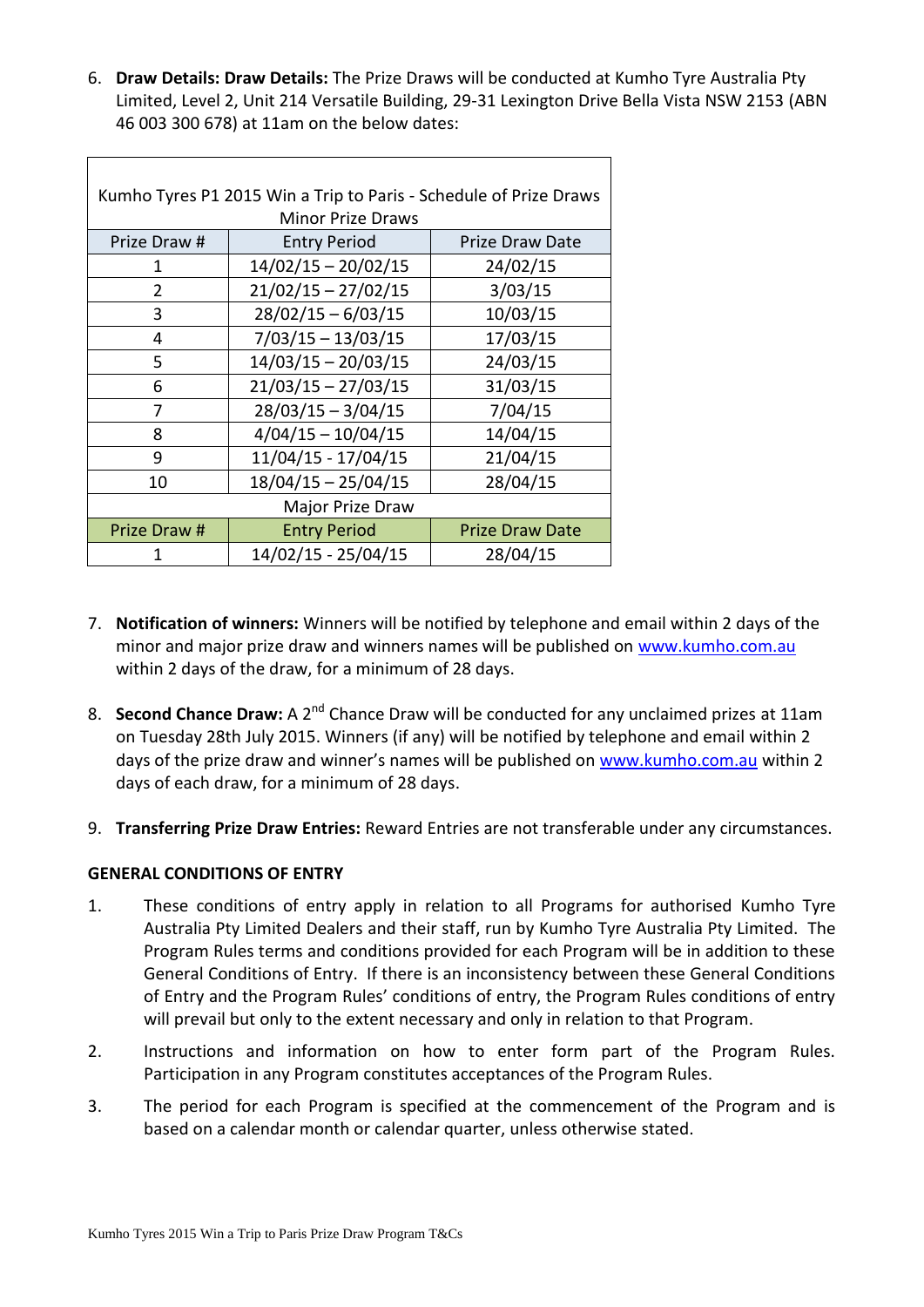6. **Draw Details: Draw Details:** The Prize Draws will be conducted at Kumho Tyre Australia Pty Limited, Level 2, Unit 214 Versatile Building, 29-31 Lexington Drive Bella Vista NSW 2153 (ABN 46 003 300 678) at 11am on the below dates:

| Kumho Tyres P1 2015 Win a Trip to Paris - Schedule of Prize Draws<br><b>Minor Prize Draws</b> |                       |                        |
|-----------------------------------------------------------------------------------------------|-----------------------|------------------------|
| Prize Draw #                                                                                  | <b>Entry Period</b>   | Prize Draw Date        |
| 1                                                                                             | $14/02/15 - 20/02/15$ | 24/02/15               |
| 2                                                                                             | $21/02/15 - 27/02/15$ | 3/03/15                |
| 3                                                                                             | $28/02/15 - 6/03/15$  | 10/03/15               |
| 4                                                                                             | $7/03/15 - 13/03/15$  | 17/03/15               |
| 5                                                                                             | $14/03/15 - 20/03/15$ | 24/03/15               |
| 6                                                                                             | $21/03/15 - 27/03/15$ | 31/03/15               |
| 7                                                                                             | $28/03/15 - 3/04/15$  | 7/04/15                |
| 8                                                                                             | $4/04/15 - 10/04/15$  | 14/04/15               |
| 9                                                                                             | 11/04/15 - 17/04/15   | 21/04/15               |
| 10                                                                                            | $18/04/15 - 25/04/15$ | 28/04/15               |
| Major Prize Draw                                                                              |                       |                        |
| Prize Draw #                                                                                  | <b>Entry Period</b>   | <b>Prize Draw Date</b> |
| 1                                                                                             | 14/02/15 - 25/04/15   | 28/04/15               |

- 7. **Notification of winners:** Winners will be notified by telephone and email within 2 days of the minor and major prize draw and winners names will be published on [www.kumho.com.au](http://www.kumho.com.au/) within 2 days of the draw, for a minimum of 28 days.
- 8. **Second Chance Draw:** A 2<sup>nd</sup> Chance Draw will be conducted for any unclaimed prizes at 11am on Tuesday 28th July 2015. Winners (if any) will be notified by telephone and email within 2 days of the prize draw and winner's names will be published on [www.kumho.com.au](http://www.kumho.com.au/) within 2 days of each draw, for a minimum of 28 days.
- 9. **Transferring Prize Draw Entries:** Reward Entries are not transferable under any circumstances.

#### **GENERAL CONDITIONS OF ENTRY**

- 1. These conditions of entry apply in relation to all Programs for authorised Kumho Tyre Australia Pty Limited Dealers and their staff, run by Kumho Tyre Australia Pty Limited. The Program Rules terms and conditions provided for each Program will be in addition to these General Conditions of Entry. If there is an inconsistency between these General Conditions of Entry and the Program Rules' conditions of entry, the Program Rules conditions of entry will prevail but only to the extent necessary and only in relation to that Program.
- 2. Instructions and information on how to enter form part of the Program Rules. Participation in any Program constitutes acceptances of the Program Rules.
- 3. The period for each Program is specified at the commencement of the Program and is based on a calendar month or calendar quarter, unless otherwise stated.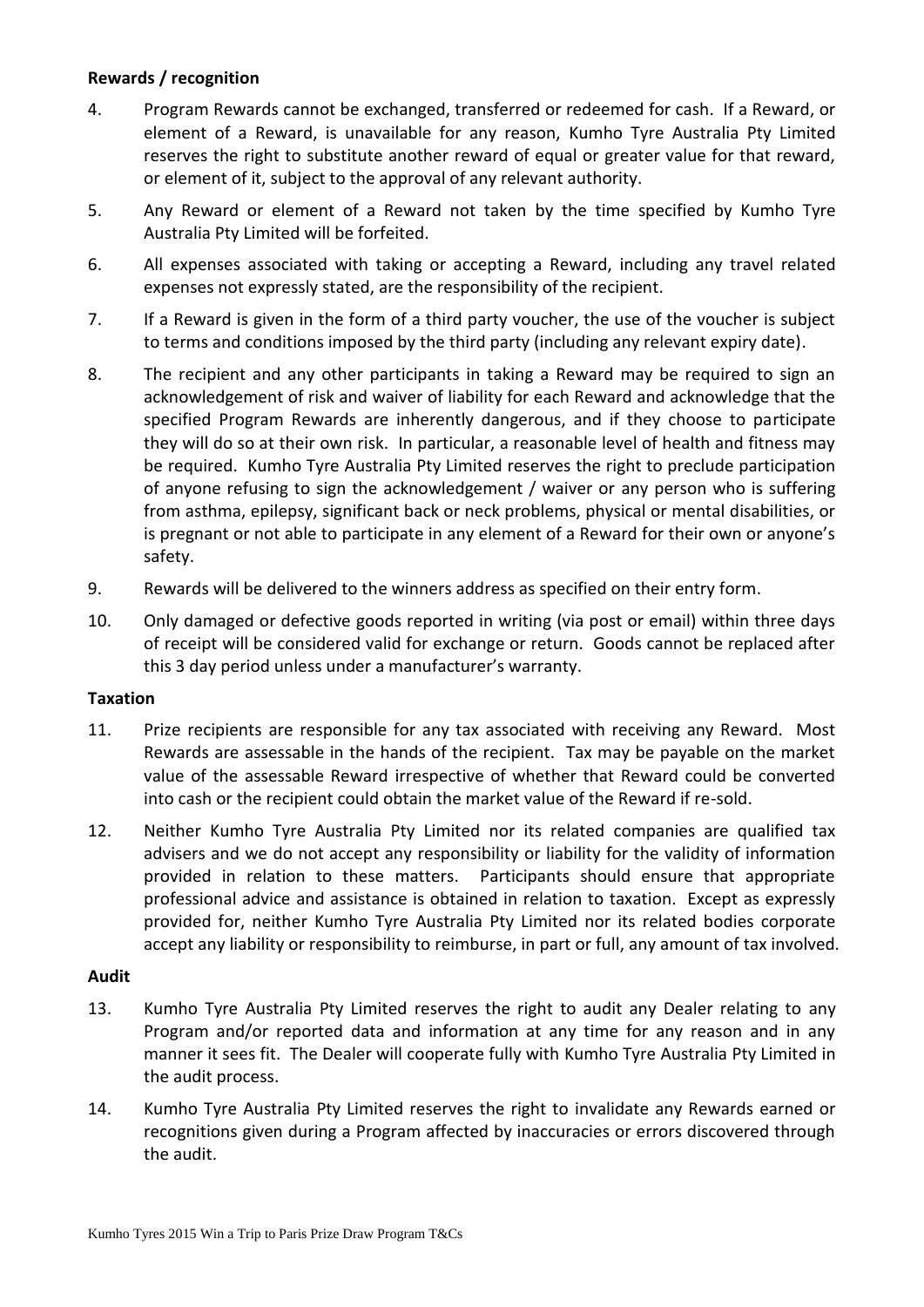## **Rewards / recognition**

- 4. Program Rewards cannot be exchanged, transferred or redeemed for cash. If a Reward, or element of a Reward, is unavailable for any reason, Kumho Tyre Australia Pty Limited reserves the right to substitute another reward of equal or greater value for that reward, or element of it, subject to the approval of any relevant authority.
- 5. Any Reward or element of a Reward not taken by the time specified by Kumho Tyre Australia Pty Limited will be forfeited.
- 6. All expenses associated with taking or accepting a Reward, including any travel related expenses not expressly stated, are the responsibility of the recipient.
- 7. If a Reward is given in the form of a third party voucher, the use of the voucher is subject to terms and conditions imposed by the third party (including any relevant expiry date).
- 8. The recipient and any other participants in taking a Reward may be required to sign an acknowledgement of risk and waiver of liability for each Reward and acknowledge that the specified Program Rewards are inherently dangerous, and if they choose to participate they will do so at their own risk. In particular, a reasonable level of health and fitness may be required. Kumho Tyre Australia Pty Limited reserves the right to preclude participation of anyone refusing to sign the acknowledgement / waiver or any person who is suffering from asthma, epilepsy, significant back or neck problems, physical or mental disabilities, or is pregnant or not able to participate in any element of a Reward for their own or anyone's safety.
- 9. Rewards will be delivered to the winners address as specified on their entry form.
- 10. Only damaged or defective goods reported in writing (via post or email) within three days of receipt will be considered valid for exchange or return. Goods cannot be replaced after this 3 day period unless under a manufacturer's warranty.

#### **Taxation**

- 11. Prize recipients are responsible for any tax associated with receiving any Reward. Most Rewards are assessable in the hands of the recipient. Tax may be payable on the market value of the assessable Reward irrespective of whether that Reward could be converted into cash or the recipient could obtain the market value of the Reward if re-sold.
- 12. Neither Kumho Tyre Australia Pty Limited nor its related companies are qualified tax advisers and we do not accept any responsibility or liability for the validity of information provided in relation to these matters. Participants should ensure that appropriate professional advice and assistance is obtained in relation to taxation. Except as expressly provided for, neither Kumho Tyre Australia Pty Limited nor its related bodies corporate accept any liability or responsibility to reimburse, in part or full, any amount of tax involved.

#### **Audit**

- 13. Kumho Tyre Australia Pty Limited reserves the right to audit any Dealer relating to any Program and/or reported data and information at any time for any reason and in any manner it sees fit. The Dealer will cooperate fully with Kumho Tyre Australia Pty Limited in the audit process.
- 14. Kumho Tyre Australia Pty Limited reserves the right to invalidate any Rewards earned or recognitions given during a Program affected by inaccuracies or errors discovered through the audit.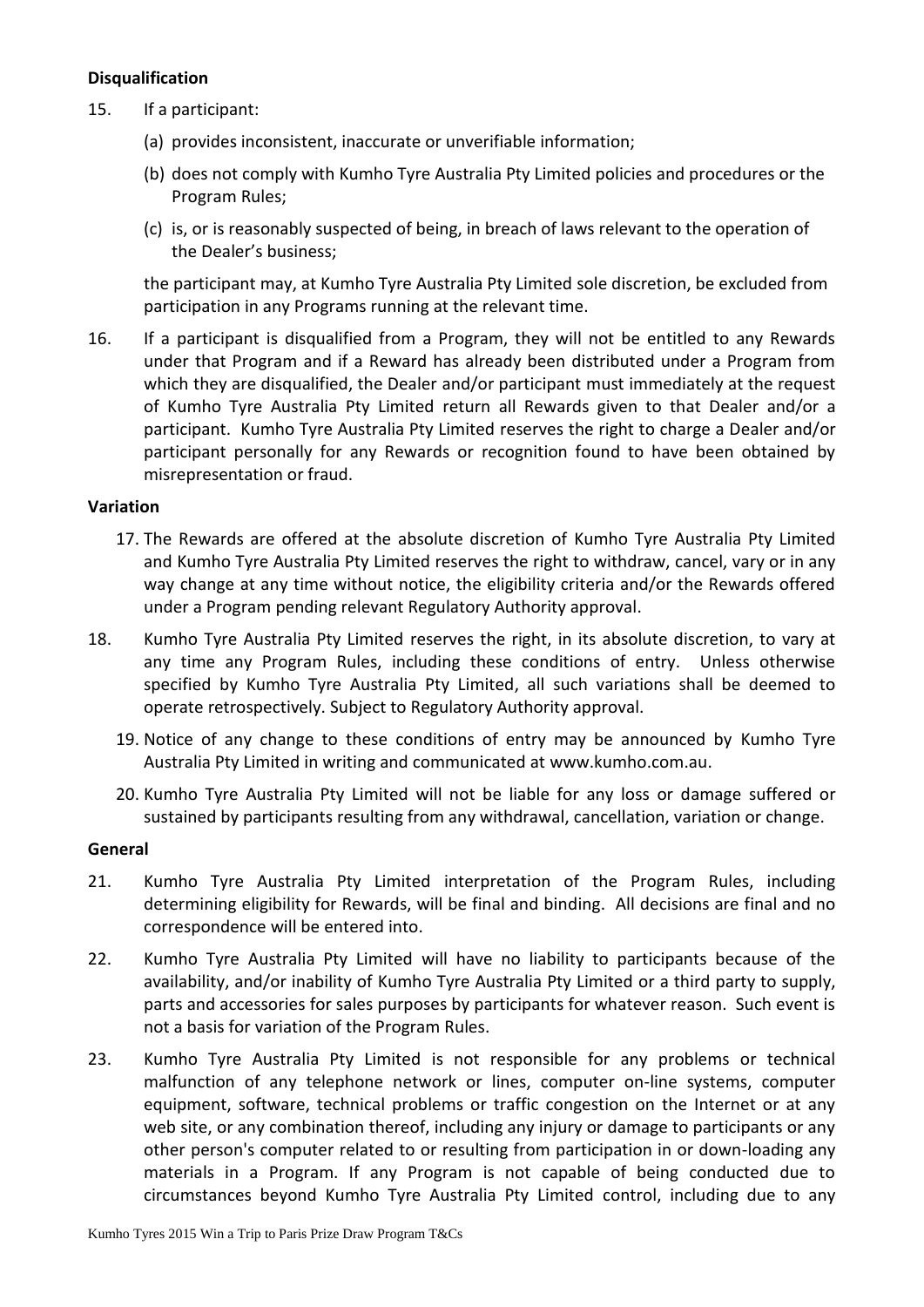## **Disqualification**

- 15. If a participant:
	- (a) provides inconsistent, inaccurate or unverifiable information;
	- (b) does not comply with Kumho Tyre Australia Pty Limited policies and procedures or the Program Rules;
	- (c) is, or is reasonably suspected of being, in breach of laws relevant to the operation of the Dealer's business;

the participant may, at Kumho Tyre Australia Pty Limited sole discretion, be excluded from participation in any Programs running at the relevant time.

16. If a participant is disqualified from a Program, they will not be entitled to any Rewards under that Program and if a Reward has already been distributed under a Program from which they are disqualified, the Dealer and/or participant must immediately at the request of Kumho Tyre Australia Pty Limited return all Rewards given to that Dealer and/or a participant. Kumho Tyre Australia Pty Limited reserves the right to charge a Dealer and/or participant personally for any Rewards or recognition found to have been obtained by misrepresentation or fraud.

#### **Variation**

- 17. The Rewards are offered at the absolute discretion of Kumho Tyre Australia Pty Limited and Kumho Tyre Australia Pty Limited reserves the right to withdraw, cancel, vary or in any way change at any time without notice, the eligibility criteria and/or the Rewards offered under a Program pending relevant Regulatory Authority approval.
- 18. Kumho Tyre Australia Pty Limited reserves the right, in its absolute discretion, to vary at any time any Program Rules, including these conditions of entry. Unless otherwise specified by Kumho Tyre Australia Pty Limited, all such variations shall be deemed to operate retrospectively. Subject to Regulatory Authority approval.
	- 19. Notice of any change to these conditions of entry may be announced by Kumho Tyre Australia Pty Limited in writing and communicated at www.kumho.com.au.
	- 20. Kumho Tyre Australia Pty Limited will not be liable for any loss or damage suffered or sustained by participants resulting from any withdrawal, cancellation, variation or change.

#### **General**

- 21. Kumho Tyre Australia Pty Limited interpretation of the Program Rules, including determining eligibility for Rewards, will be final and binding. All decisions are final and no correspondence will be entered into.
- 22. Kumho Tyre Australia Pty Limited will have no liability to participants because of the availability, and/or inability of Kumho Tyre Australia Pty Limited or a third party to supply, parts and accessories for sales purposes by participants for whatever reason. Such event is not a basis for variation of the Program Rules.
- 23. Kumho Tyre Australia Pty Limited is not responsible for any problems or technical malfunction of any telephone network or lines, computer on-line systems, computer equipment, software, technical problems or traffic congestion on the Internet or at any web site, or any combination thereof, including any injury or damage to participants or any other person's computer related to or resulting from participation in or down-loading any materials in a Program. If any Program is not capable of being conducted due to circumstances beyond Kumho Tyre Australia Pty Limited control, including due to any